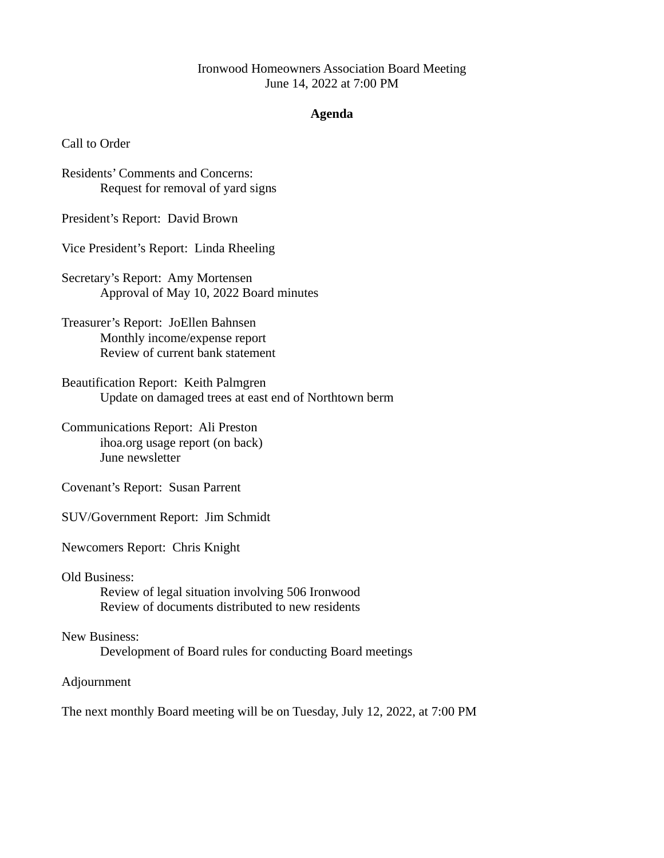## Ironwood Homeowners Association Board Meeting June 14, 2022 at 7:00 PM

## **Agenda**

Call to Order

Residents' Comments and Concerns: Request for removal of yard signs

President's Report: David Brown

Vice President's Report: Linda Rheeling

Secretary's Report: Amy Mortensen Approval of May 10, 2022 Board minutes

Treasurer's Report: JoEllen Bahnsen Monthly income/expense report Review of current bank statement

Beautification Report: Keith Palmgren Update on damaged trees at east end of Northtown berm

Communications Report: Ali Preston ihoa.org usage report (on back) June newsletter

Covenant's Report: Susan Parrent

SUV/Government Report: Jim Schmidt

Newcomers Report: Chris Knight

Old Business:

Review of legal situation involving 506 Ironwood Review of documents distributed to new residents

New Business: Development of Board rules for conducting Board meetings

Adjournment

The next monthly Board meeting will be on Tuesday, July 12, 2022, at 7:00 PM